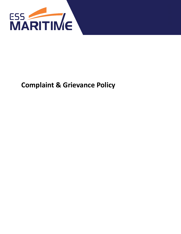

# **Complaint & Grievance Policy**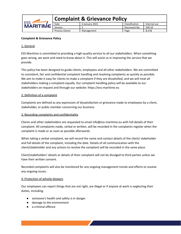| ESS<br><b>MARITIME</b> | Complaint & Grievance Policy |                |                |              |  |
|------------------------|------------------------------|----------------|----------------|--------------|--|
|                        | Date                         | 6 January 2022 | Classification | Internal use |  |
|                        | Version                      |                | Document No.   | 100.10       |  |
|                        | <b>Process Owner</b>         | Management     | Page           | $2$ of 6     |  |

# **Complaint & Grievance Policy**

# 1. General

ESS Maritime is committed to providing a high-quality service to all our stakeholders. When something goes wrong, we want and need to know about it. This will assist us in improving the service that we provide.

This policy has been designed to guide clients, employees and all other stakeholders. We are committed to consistent, fair and confidential complaint handling and resolving complaints as quickly as possible. We aim to make it easy for clients to make a complaint if they are dissatisfied, and we will treat all stakeholders making a complaint equally. Our complaint handling policy will be available to our stakeholders on request and through our website: https://ess-maritime.eu

## 2. Definition of a complaint

Complaints are defined as any expression of dissatisfaction or grievance made to employees by a client, stakeholder, or public member concerning our business.

## 3. Recording complaints and confidentiality

Clients and other stakeholders are requested to email info@ess-maritime.eu with full details of their complaint. All complaints made, verbal or written, will be recorded in the complaints register when the complaint is made or as soon as possible afterwards.

When taking a verbal complaint, we will record the name and contact details of the client/ stakeholder and full details of the complaint, including the date. Details of all communication with the client/stakeholder and any actions to resolve the complaint will be recorded in the same place.

Client/stakeholders' details or details of their complaint will not be divulged to third parties unless we have their written consent.

Recorded complaints will also be monitored for any ongoing management trends and efforts to resolve any ongoing issues.

#### 4. Protection of whistle-blowers

Our employees can report things that are not right, are illegal or if anyone at work is neglecting their duties, including:

- someone's health and safety is in danger
- damage to the environment
- a criminal offence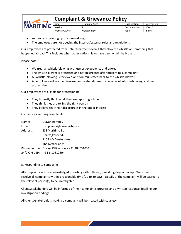

- someone is covering up the wrongdoing
- The employees are not obeying the internal/external rules and regulations.

Our employees are protected from unfair treatment even if they blow the whistle on something that happened abroad. This includes when other nations' laws have been or will be broken.

Please note:

- We treat all whistle-blowing with utmost expediency and effort.
- The whistle-blower is protected and not mistreated after presenting a complaint.
- All whistle-blowing is reviewed and communicated back to the whistle-blower.
- An employee will not be dismissed or treated differently because of whistle-blowing, and we protect them.

Our employees are eligible for protection if:

- They honestly think what they are reporting is true
- They think they are telling the right person
- They believe that their disclosure is in the public interest

Contacts for sending complaints:

| Name:    | Djavan Romney                                   |  |  |
|----------|-------------------------------------------------|--|--|
| Email:   | complaints@ess-maritime.eu                      |  |  |
| Address: | <b>ESS Maritime BV</b>                          |  |  |
|          | Daalwijkdreef 47                                |  |  |
|          | 1103 AD Amsterdam                               |  |  |
|          | The Netherlands                                 |  |  |
|          | Phone number: During Office hours +31 203031034 |  |  |
|          | 24/7 OPSDEP: +31 6 10812804                     |  |  |

# 5. Responding to complaints

All complaints will be acknowledged in writing within three (3) working days of receipt. We strive to resolve all complaints within a reasonable time (up to 30 days). Details of the complaint will be passed to the relevant person(s) to be investigated.

Clients/stakeholders will be informed of their complaint's progress and a written response detailing our investigation findings.

All clients/stakeholders making a complaint will be treated with courtesy.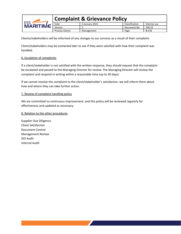

Clients/stakeholders will be informed of any changes to our services as a result of their complaint.

Client/stakeholders may be contacted later to see if they were satisfied with how their complaint was handled.

## 6. Escalation of complaints

If a client/stakeholder is not satisfied with the written response, they should request that the complaint be escalated and passed to the Managing Director for review. The Managing Director will review the complaint and respond in writing within a reasonable time (up to 30 days).

If we cannot resolve the complaint to the client/stakeholder's satisfaction, we will inform them about how and where they can take further action.

## 7. Review of complaint handling policy

We are committed to continuous improvement, and this policy will be reviewed regularly for effectiveness and updated as necessary.

#### 8. Relation to the other procedures

Supplier Due Diligence Client Satisfaction Document Control Management Review ISO Audit Internal Audit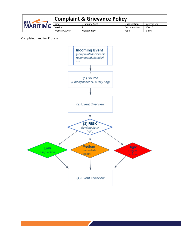| CCC<br><b>MARITIME</b> | <b>Complaint &amp; Grievance Policy</b> |                |                |              |  |
|------------------------|-----------------------------------------|----------------|----------------|--------------|--|
|                        | Date                                    | 6 January 2022 | Classification | Internal use |  |
|                        | Version                                 |                | Document No.   | 100.10       |  |
|                        | <b>Process Owner</b>                    | Management     | Page           | $5$ of 6     |  |

Complaint Handling Process